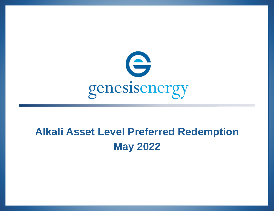

# **Alkali Asset Level Preferred Redemption May 2022**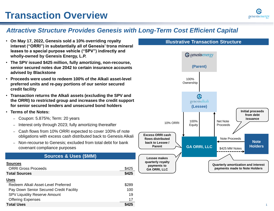### *Attractive Structure Provides Genesis with Long-Term Cost Efficient Capital*

- **On May 17, 2022, Genesis sold a 10% overriding royalty interest ("ORRI") in substantially all of Genesis' trona mineral leases to a special purpose vehicle ("SPV") indirectly and wholly-owned by Genesis Energy, L.P.**
- **The SPV issued \$425 million, fully amortizing, non-recourse, senior secured notes due 2042 to certain insurance accounts advised by Blackstone**
- **Proceeds were used to redeem 100% of the Alkali asset-level preferred units and re-pay portions of our senior secured credit facility**
- **Transaction returns the Alkali assets (excluding the SPV and the ORRI) to restricted group and increases the credit support for senior secured lenders and unsecured bond holders**
- **Terms of the Notes:**
	- Coupon: 5.875%; Term: 20 years
	- Interest only through 2023; fully amortizing thereafter
	- Cash flows from 10% ORRI expected to cover 100% of note obligations with excess cash distributed back to Genesis Alkali
	- Non-recourse to Genesis; excluded from total debt for bank covenant compliance purposes

#### **Sources & Uses (\$MM)**

| \$425 |
|-------|
| \$425 |
|       |
| \$289 |
| 100   |
| 19    |
| 17    |
| \$425 |
|       |

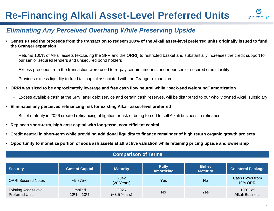## **Re-Financing Alkali Asset-Level Preferred Units**



### *Eliminating Any Perceived Overhang While Preserving Upside*

- **Genesis used the proceeds from the transaction to redeem 100% of the Alkali asset-level preferred units originally issued to fund the Granger expansion**
	- Returns 100% of Alkali assets (excluding the SPV and the ORRI) to restricted basket and substantially increases the credit support for our senior secured lenders and unsecured bond holders
	- Excess proceeds from the transaction were used to re-pay certain amounts under our senior secured credit facility
	- Provides excess liquidity to fund tail capital associated with the Granger expansion
- **ORRI was sized to be approximately leverage and free cash flow neutral while "back-end weighting" amortization**
	- Excess available cash at the SPV, after debt service and certain cash reserves, will be distributed to our wholly owned Alkali subsidiary
- **Eliminates any perceived refinancing risk for existing Alkali asset-level preferred**
	- Bullet maturity in 2026 created refinancing obligation or risk of being forced to sell Alkali business to refinance
- **Replaces short-term, high cost capital with long-term, cost efficient capital**
- **Credit neutral in short-term while providing additional liquidity to finance remainder of high return organic growth projects**
- **Opportunity to monetize portion of soda ash assets at attractive valuation while retaining pricing upside and ownership**

| <b>Security</b>                                       | <b>Cost of Capital</b>   | <b>Maturity</b>                | <b>Fully</b><br><b>Amortizing</b> | <b>Bullet</b><br><b>Maturity</b> | <b>Collateral Package</b>          |
|-------------------------------------------------------|--------------------------|--------------------------------|-----------------------------------|----------------------------------|------------------------------------|
| <b>ORRI Secured Notes</b>                             | $~5.875\%$               | 2042<br>$(20 \text{ Years})$   | Yes                               | <b>No</b>                        | Cash Flows from<br><b>10% ORRI</b> |
| <b>Existing Asset-Level</b><br><b>Preferred Units</b> | Implied<br>$12\% - 13\%$ | 2026<br>$(-3.5 \text{ Years})$ | <b>No</b>                         | Yes                              | 100% of<br><b>Alkali Business</b>  |

#### **Comparison of Terms**